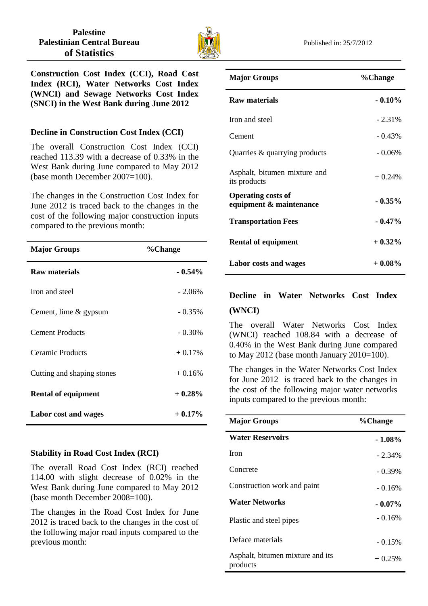

**Construction Cost Index (CCI), Road Cost Index (RCI), Water Networks Cost Index (WNCI) and Sewage Networks Cost Index (SNCI) in the West Bank during June 2012**

### **Decline in Construction Cost Index (CCI)**

The overall Construction Cost Index (CCI) reached 113.39 with a decrease of 0.33% in the West Bank during June compared to May 2012 (base month December 2007=100).

The changes in the Construction Cost Index for June 2012 is traced back to the changes in the cost of the following major construction inputs compared to the previous month:

| <b>Major Groups</b>        | %Change   |
|----------------------------|-----------|
| Raw materials              | $-0.54\%$ |
| Iron and steel             | $-2.06%$  |
| Cement, lime & gypsum      | $-0.35\%$ |
| <b>Cement Products</b>     | $-0.30\%$ |
| Ceramic Products           | $+0.17%$  |
| Cutting and shaping stones | $+0.16%$  |
| <b>Rental of equipment</b> | $+0.28%$  |
| Labor cost and wages       | $+0.17%$  |

## **Stability in Road Cost Index (RCI)**

The overall Road Cost Index (RCI) reached 114.00 with slight decrease of 0.02% in the West Bank during June compared to May 2012 (base month December 2008=100).

The changes in the Road Cost Index for June 2012 is traced back to the changes in the cost of the following major road inputs compared to the previous month:

| <b>Major Groups</b>                                  | %Change   |
|------------------------------------------------------|-----------|
| <b>Raw materials</b>                                 | $-0.10\%$ |
| Iron and steel                                       | $-2.31\%$ |
| Cement                                               | $-0.43\%$ |
| Quarries & quarrying products                        | $-0.06%$  |
| Asphalt, bitumen mixture and<br>its products         | $+0.24%$  |
| <b>Operating costs of</b><br>equipment & maintenance | $-0.35\%$ |
| <b>Transportation Fees</b>                           | $-0.47%$  |
| <b>Rental of equipment</b>                           | $+$ 0.32% |
| Labor costs and wages                                | $+0.08\%$ |

# **Decline in Water Networks Cost Index (WNCI)**

The overall Water Networks Cost Index (WNCI) reached 108.84 with a decrease of 0.40% in the West Bank during June compared to May 2012 (base month January 2010=100).

The changes in the Water Networks Cost Index for June 2012 is traced back to the changes in the cost of the following major water networks inputs compared to the previous month:

| <b>Major Groups</b>                          | %Change   |
|----------------------------------------------|-----------|
| <b>Water Reservoirs</b>                      | $-1.08\%$ |
| <b>Iron</b>                                  | $-2.34\%$ |
| Concrete                                     | $-0.39\%$ |
| Construction work and paint                  | $-0.16%$  |
| Water Networks                               | $-0.07\%$ |
| Plastic and steel pipes                      | $-0.16%$  |
| Deface materials                             | $-0.15%$  |
| Asphalt, bitumen mixture and its<br>products | $+0.25%$  |